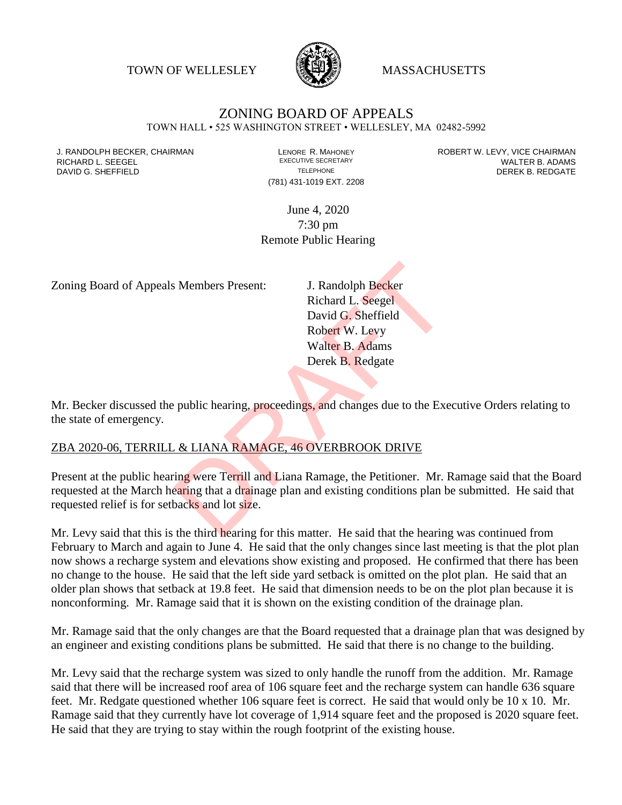TOWN OF WELLESLEY **WELLESLEY** MASSACHUSETTS



# ZONING BOARD OF APPEALS

TOWN HALL • 525 WASHINGTON STREET • WELLESLEY, MA 02482-5992

(781) 431-1019 EXT. 2208

J. RANDOLPH BECKER, CHAIRMAN LAND LENORE R. MAHONEY LEWING AN ANDERT W. LEVY, VICE CHAIRMAN LAND LENORE R. MAHONEY<br>RICHARD L. SFFGFI LADAMS RICHARD L. SEEGEL **EXECUTIVE SECRETARY CONTROLL SEEGETARY** WALTER B. ADAMS DAVID G. SHEFFIELD **TELEPHONE** TELEPHONE TELEPHONE **TELEPHONE DEREK B. REDGATE** 

> June 4, 2020 7:30 pm Remote Public Hearing

Zoning Board of Appeals Members Present: J. Randolph Becker

Richard L. Seegel David G. Sheffield Robert W. Levy Walter B. Adams Derek B. Redgate

Mr. Becker discussed the public hearing, proceedings, and changes due to the Executive Orders relating to the state of emergency.

#### ZBA 2020-06, TERRILL & LIANA RAMAGE, 46 OVERBROOK DRIVE

Present at the public hearing were Terrill and Liana Ramage, the Petitioner. Mr. Ramage said that the Board requested at the March hearing that a drainage plan and existing conditions plan be submitted. He said that requested relief is for setbacks and lot size. S Members Present:<br>
J. Randolph Becker<br>
Richard L. Seegel<br>
David G. Sheffield<br>
Robert W. Levy<br>
Walter B. Adams<br>
Derek B. Redgate<br>
public hearing, proceedings, and changes due to the Exe<br>
L. & LIANA RAMAGE, 46 OVERBROOK DRI

Mr. Levy said that this is the third hearing for this matter. He said that the hearing was continued from February to March and again to June 4. He said that the only changes since last meeting is that the plot plan now shows a recharge system and elevations show existing and proposed. He confirmed that there has been no change to the house. He said that the left side yard setback is omitted on the plot plan. He said that an older plan shows that setback at 19.8 feet. He said that dimension needs to be on the plot plan because it is nonconforming. Mr. Ramage said that it is shown on the existing condition of the drainage plan.

Mr. Ramage said that the only changes are that the Board requested that a drainage plan that was designed by an engineer and existing conditions plans be submitted. He said that there is no change to the building.

Mr. Levy said that the recharge system was sized to only handle the runoff from the addition. Mr. Ramage said that there will be increased roof area of 106 square feet and the recharge system can handle 636 square feet. Mr. Redgate questioned whether 106 square feet is correct. He said that would only be 10 x 10. Mr. Ramage said that they currently have lot coverage of 1,914 square feet and the proposed is 2020 square feet. He said that they are trying to stay within the rough footprint of the existing house.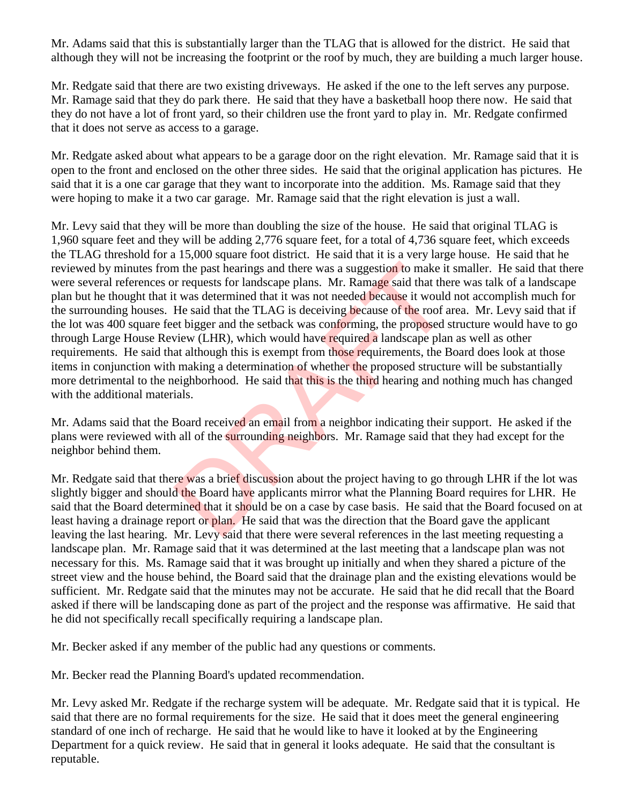Mr. Adams said that this is substantially larger than the TLAG that is allowed for the district. He said that although they will not be increasing the footprint or the roof by much, they are building a much larger house.

Mr. Redgate said that there are two existing driveways. He asked if the one to the left serves any purpose. Mr. Ramage said that they do park there. He said that they have a basketball hoop there now. He said that they do not have a lot of front yard, so their children use the front yard to play in. Mr. Redgate confirmed that it does not serve as access to a garage.

Mr. Redgate asked about what appears to be a garage door on the right elevation. Mr. Ramage said that it is open to the front and enclosed on the other three sides. He said that the original application has pictures. He said that it is a one car garage that they want to incorporate into the addition. Ms. Ramage said that they were hoping to make it a two car garage. Mr. Ramage said that the right elevation is just a wall.

Mr. Levy said that they will be more than doubling the size of the house. He said that original TLAG is 1,960 square feet and they will be adding 2,776 square feet, for a total of 4,736 square feet, which exceeds the TLAG threshold for a 15,000 square foot district. He said that it is a very large house. He said that he reviewed by minutes from the past hearings and there was a suggestion to make it smaller. He said that there were several references or requests for landscape plans. Mr. Ramage said that there was talk of a landscape plan but he thought that it was determined that it was not needed because it would not accomplish much for the surrounding houses. He said that the TLAG is deceiving because of the roof area. Mr. Levy said that if the lot was 400 square feet bigger and the setback was conforming, the proposed structure would have to go through Large House Review (LHR), which would have required a landscape plan as well as other requirements. He said that although this is exempt from those requirements, the Board does look at those items in conjunction with making a determination of whether the proposed structure will be substantially more detrimental to the neighborhood. He said that this is the third hearing and nothing much has changed with the additional materials. In the past hearings and there was a suggestion to make it<br>or requests for landscape plans. Mr. Ramage said that the<br>t was determined that it was not needed because it would<br>He said that the TLAG is deceiving because of th

Mr. Adams said that the Board received an email from a neighbor indicating their support. He asked if the plans were reviewed with all of the surrounding neighbors. Mr. Ramage said that they had except for the neighbor behind them.

Mr. Redgate said that there was a brief discussion about the project having to go through LHR if the lot was slightly bigger and should the Board have applicants mirror what the Planning Board requires for LHR. He said that the Board determined that it should be on a case by case basis. He said that the Board focused on at least having a drainage report or plan. He said that was the direction that the Board gave the applicant leaving the last hearing. Mr. Levy said that there were several references in the last meeting requesting a landscape plan. Mr. Ramage said that it was determined at the last meeting that a landscape plan was not necessary for this. Ms. Ramage said that it was brought up initially and when they shared a picture of the street view and the house behind, the Board said that the drainage plan and the existing elevations would be sufficient. Mr. Redgate said that the minutes may not be accurate. He said that he did recall that the Board asked if there will be landscaping done as part of the project and the response was affirmative. He said that he did not specifically recall specifically requiring a landscape plan.

Mr. Becker asked if any member of the public had any questions or comments.

Mr. Becker read the Planning Board's updated recommendation.

Mr. Levy asked Mr. Redgate if the recharge system will be adequate. Mr. Redgate said that it is typical. He said that there are no formal requirements for the size. He said that it does meet the general engineering standard of one inch of recharge. He said that he would like to have it looked at by the Engineering Department for a quick review. He said that in general it looks adequate. He said that the consultant is reputable.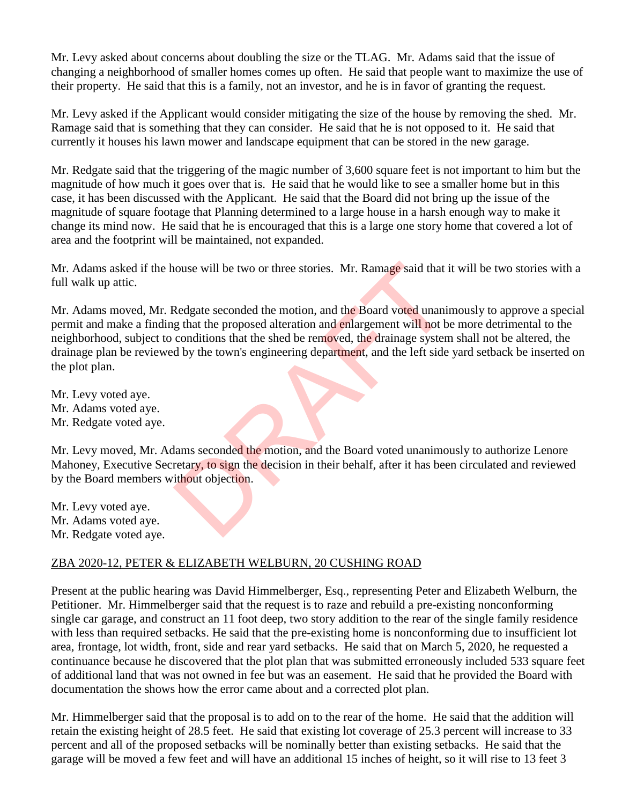Mr. Levy asked about concerns about doubling the size or the TLAG. Mr. Adams said that the issue of changing a neighborhood of smaller homes comes up often. He said that people want to maximize the use of their property. He said that this is a family, not an investor, and he is in favor of granting the request.

Mr. Levy asked if the Applicant would consider mitigating the size of the house by removing the shed. Mr. Ramage said that is something that they can consider. He said that he is not opposed to it. He said that currently it houses his lawn mower and landscape equipment that can be stored in the new garage.

Mr. Redgate said that the triggering of the magic number of 3,600 square feet is not important to him but the magnitude of how much it goes over that is. He said that he would like to see a smaller home but in this case, it has been discussed with the Applicant. He said that the Board did not bring up the issue of the magnitude of square footage that Planning determined to a large house in a harsh enough way to make it change its mind now. He said that he is encouraged that this is a large one story home that covered a lot of area and the footprint will be maintained, not expanded.

Mr. Adams asked if the house will be two or three stories. Mr. Ramage said that it will be two stories with a full walk up attic.

Mr. Adams moved, Mr. Redgate seconded the motion, and the Board voted unanimously to approve a special permit and make a finding that the proposed alteration and enlargement will not be more detrimental to the neighborhood, subject to conditions that the shed be removed, the drainage system shall not be altered, the drainage plan be reviewed by the town's engineering department, and the left side yard setback be inserted on the plot plan. Notice will be two or three stories. Mr. Ramage said that if<br>
Redgate seconded the motion, and the Board voted unaning<br>
that the proposed alteration and enlargement will not b<br>
conditions that the shed be removed, the drai

Mr. Levy voted aye. Mr. Adams voted aye. Mr. Redgate voted aye.

Mr. Levy moved, Mr. Adams seconded the motion, and the Board voted unanimously to authorize Lenore Mahoney, Executive Secretary, to sign the decision in their behalf, after it has been circulated and reviewed by the Board members without objection.

Mr. Levy voted aye. Mr. Adams voted aye. Mr. Redgate voted aye.

# ZBA 2020-12, PETER & ELIZABETH WELBURN, 20 CUSHING ROAD

Present at the public hearing was David Himmelberger, Esq., representing Peter and Elizabeth Welburn, the Petitioner. Mr. Himmelberger said that the request is to raze and rebuild a pre-existing nonconforming single car garage, and construct an 11 foot deep, two story addition to the rear of the single family residence with less than required setbacks. He said that the pre-existing home is nonconforming due to insufficient lot area, frontage, lot width, front, side and rear yard setbacks. He said that on March 5, 2020, he requested a continuance because he discovered that the plot plan that was submitted erroneously included 533 square feet of additional land that was not owned in fee but was an easement. He said that he provided the Board with documentation the shows how the error came about and a corrected plot plan.

Mr. Himmelberger said that the proposal is to add on to the rear of the home. He said that the addition will retain the existing height of 28.5 feet. He said that existing lot coverage of 25.3 percent will increase to 33 percent and all of the proposed setbacks will be nominally better than existing setbacks. He said that the garage will be moved a few feet and will have an additional 15 inches of height, so it will rise to 13 feet 3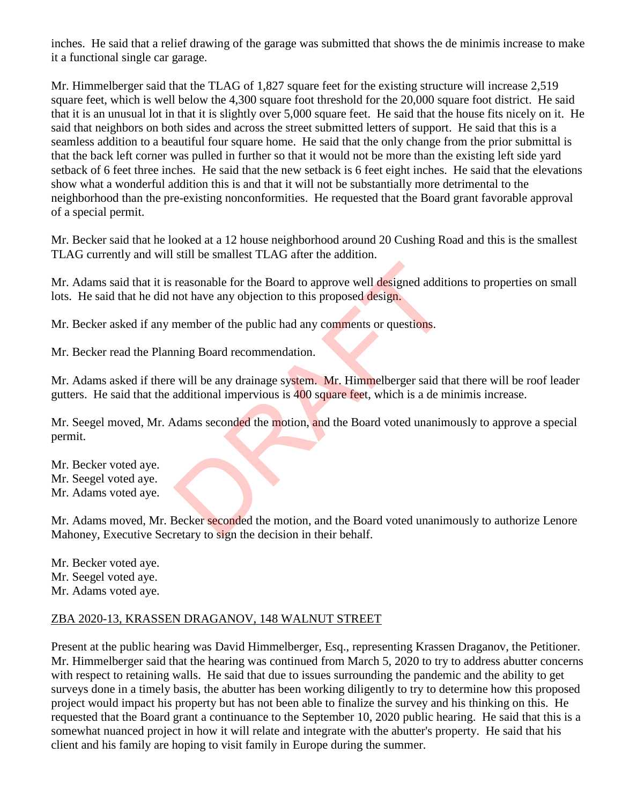inches. He said that a relief drawing of the garage was submitted that shows the de minimis increase to make it a functional single car garage.

Mr. Himmelberger said that the TLAG of 1,827 square feet for the existing structure will increase 2,519 square feet, which is well below the 4,300 square foot threshold for the 20,000 square foot district. He said that it is an unusual lot in that it is slightly over 5,000 square feet. He said that the house fits nicely on it. He said that neighbors on both sides and across the street submitted letters of support. He said that this is a seamless addition to a beautiful four square home. He said that the only change from the prior submittal is that the back left corner was pulled in further so that it would not be more than the existing left side yard setback of 6 feet three inches. He said that the new setback is 6 feet eight inches. He said that the elevations show what a wonderful addition this is and that it will not be substantially more detrimental to the neighborhood than the pre-existing nonconformities. He requested that the Board grant favorable approval of a special permit.

Mr. Becker said that he looked at a 12 house neighborhood around 20 Cushing Road and this is the smallest TLAG currently and will still be smallest TLAG after the addition.

Mr. Adams said that it is reasonable for the Board to approve well designed additions to properties on small lots. He said that he did not have any objection to this proposed design. reasonable for the Board to approve well designed additiont have any objection to this proposed design.<br>
member of the public had any comments or questions.<br>
ining Board recommendation.<br>
2 will be any drainage system. Mr.

Mr. Becker asked if any member of the public had any comments or questions.

Mr. Becker read the Planning Board recommendation.

Mr. Adams asked if there will be any drainage system. Mr. Himmelberger said that there will be roof leader gutters. He said that the additional impervious is 400 square feet, which is a de minimis increase.

Mr. Seegel moved, Mr. Adams seconded the motion, and the Board voted unanimously to approve a special permit.

Mr. Becker voted aye. Mr. Seegel voted aye. Mr. Adams voted aye.

Mr. Adams moved, Mr. Becker seconded the motion, and the Board voted unanimously to authorize Lenore Mahoney, Executive Secretary to sign the decision in their behalf.

Mr. Becker voted aye. Mr. Seegel voted aye. Mr. Adams voted aye.

#### ZBA 2020-13, KRASSEN DRAGANOV, 148 WALNUT STREET

Present at the public hearing was David Himmelberger, Esq., representing Krassen Draganov, the Petitioner. Mr. Himmelberger said that the hearing was continued from March 5, 2020 to try to address abutter concerns with respect to retaining walls. He said that due to issues surrounding the pandemic and the ability to get surveys done in a timely basis, the abutter has been working diligently to try to determine how this proposed project would impact his property but has not been able to finalize the survey and his thinking on this. He requested that the Board grant a continuance to the September 10, 2020 public hearing. He said that this is a somewhat nuanced project in how it will relate and integrate with the abutter's property. He said that his client and his family are hoping to visit family in Europe during the summer.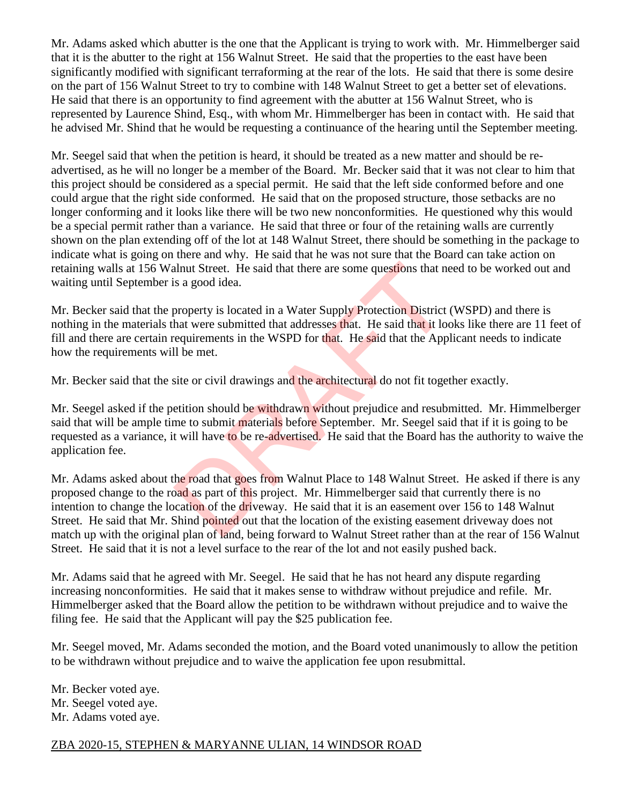Mr. Adams asked which abutter is the one that the Applicant is trying to work with. Mr. Himmelberger said that it is the abutter to the right at 156 Walnut Street. He said that the properties to the east have been significantly modified with significant terraforming at the rear of the lots. He said that there is some desire on the part of 156 Walnut Street to try to combine with 148 Walnut Street to get a better set of elevations. He said that there is an opportunity to find agreement with the abutter at 156 Walnut Street, who is represented by Laurence Shind, Esq., with whom Mr. Himmelberger has been in contact with. He said that he advised Mr. Shind that he would be requesting a continuance of the hearing until the September meeting.

Mr. Seegel said that when the petition is heard, it should be treated as a new matter and should be readvertised, as he will no longer be a member of the Board. Mr. Becker said that it was not clear to him that this project should be considered as a special permit. He said that the left side conformed before and one could argue that the right side conformed. He said that on the proposed structure, those setbacks are no longer conforming and it looks like there will be two new nonconformities. He questioned why this would be a special permit rather than a variance. He said that three or four of the retaining walls are currently shown on the plan extending off of the lot at 148 Walnut Street, there should be something in the package to indicate what is going on there and why. He said that he was not sure that the Board can take action on retaining walls at 156 Walnut Street. He said that there are some questions that need to be worked out and waiting until September is a good idea.

Mr. Becker said that the property is located in a Water Supply Protection District (WSPD) and there is nothing in the materials that were submitted that addresses that. He said that it looks like there are 11 feet of fill and there are certain requirements in the WSPD for that. He said that the Applicant needs to indicate how the requirements will be met.

Mr. Becker said that the site or civil drawings and the architectural do not fit together exactly.

Mr. Seegel asked if the petition should be withdrawn without prejudice and resubmitted. Mr. Himmelberger said that will be ample time to submit materials before September. Mr. Seegel said that if it is going to be requested as a variance, it will have to be re-advertised. He said that the Board has the authority to waive the application fee.

Mr. Adams asked about the road that goes from Walnut Place to 148 Walnut Street. He asked if there is any proposed change to the road as part of this project. Mr. Himmelberger said that currently there is no intention to change the location of the driveway. He said that it is an easement over 156 to 148 Walnut Street. He said that Mr. Shind pointed out that the location of the existing easement driveway does not match up with the original plan of land, being forward to Walnut Street rather than at the rear of 156 Walnut Street. He said that it is not a level surface to the rear of the lot and not easily pushed back. about Street. He said that there are some questions that ne<br>property is located in a Water Supply Protection District<br>hat were submitted that addresses that. He said that it loo<br>requirements in the WSPD for that. He said t

Mr. Adams said that he agreed with Mr. Seegel. He said that he has not heard any dispute regarding increasing nonconformities. He said that it makes sense to withdraw without prejudice and refile. Mr. Himmelberger asked that the Board allow the petition to be withdrawn without prejudice and to waive the filing fee. He said that the Applicant will pay the \$25 publication fee.

Mr. Seegel moved, Mr. Adams seconded the motion, and the Board voted unanimously to allow the petition to be withdrawn without prejudice and to waive the application fee upon resubmittal.

Mr. Becker voted aye. Mr. Seegel voted aye. Mr. Adams voted aye.

# ZBA 2020-15, STEPHEN & MARYANNE ULIAN, 14 WINDSOR ROAD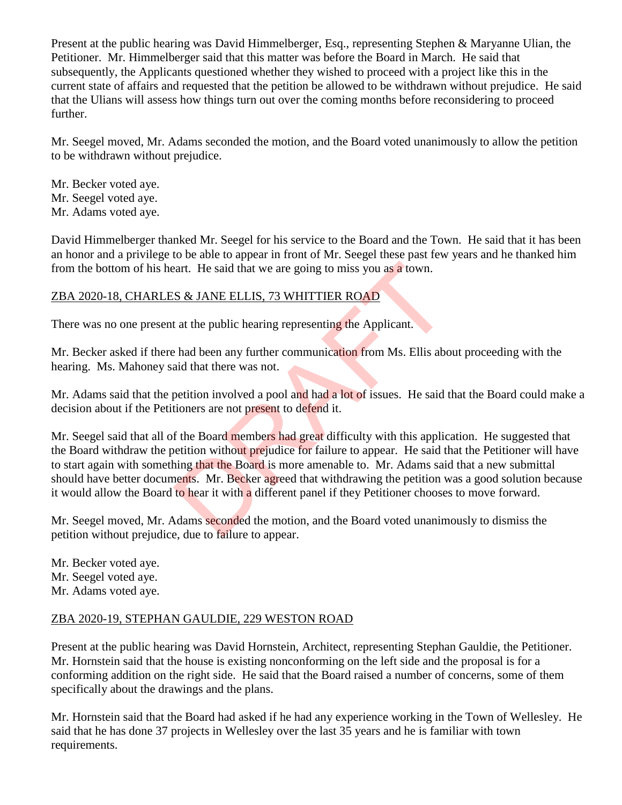Present at the public hearing was David Himmelberger, Esq., representing Stephen & Maryanne Ulian, the Petitioner. Mr. Himmelberger said that this matter was before the Board in March. He said that subsequently, the Applicants questioned whether they wished to proceed with a project like this in the current state of affairs and requested that the petition be allowed to be withdrawn without prejudice. He said that the Ulians will assess how things turn out over the coming months before reconsidering to proceed further.

Mr. Seegel moved, Mr. Adams seconded the motion, and the Board voted unanimously to allow the petition to be withdrawn without prejudice.

Mr. Becker voted aye. Mr. Seegel voted aye. Mr. Adams voted aye.

David Himmelberger thanked Mr. Seegel for his service to the Board and the Town. He said that it has been an honor and a privilege to be able to appear in front of Mr. Seegel these past few years and he thanked him from the bottom of his heart. He said that we are going to miss you as a town.

### ZBA 2020-18, CHARLES & JANE ELLIS, 73 WHITTIER ROAD

There was no one present at the public hearing representing the Applicant.

Mr. Becker asked if there had been any further communication from Ms. Ellis about proceeding with the hearing. Ms. Mahoney said that there was not.

Mr. Adams said that the petition involved a pool and had a lot of issues. He said that the Board could make a decision about if the Petitioners are not present to defend it.

Mr. Seegel said that all of the Board members had great difficulty with this application. He suggested that the Board withdraw the petition without prejudice for failure to appear. He said that the Petitioner will have to start again with something that the Board is more amenable to. Mr. Adams said that a new submittal should have better documents. Mr. Becker agreed that withdrawing the petition was a good solution because it would allow the Board to hear it with a different panel if they Petitioner chooses to move forward. eart. He said that we are going to miss you as a town.<br>
S & JANE ELLIS, 73 WHITTIER ROAD<br>
t at the public hearing representing the Applicant.<br>
had been any further communication from Ms. Ellis abc<br>
aid that there was not.<br>

Mr. Seegel moved, Mr. Adams seconded the motion, and the Board voted unanimously to dismiss the petition without prejudice, due to failure to appear.

Mr. Becker voted aye. Mr. Seegel voted aye. Mr. Adams voted aye.

#### ZBA 2020-19, STEPHAN GAULDIE, 229 WESTON ROAD

Present at the public hearing was David Hornstein, Architect, representing Stephan Gauldie, the Petitioner. Mr. Hornstein said that the house is existing nonconforming on the left side and the proposal is for a conforming addition on the right side. He said that the Board raised a number of concerns, some of them specifically about the drawings and the plans.

Mr. Hornstein said that the Board had asked if he had any experience working in the Town of Wellesley. He said that he has done 37 projects in Wellesley over the last 35 years and he is familiar with town requirements.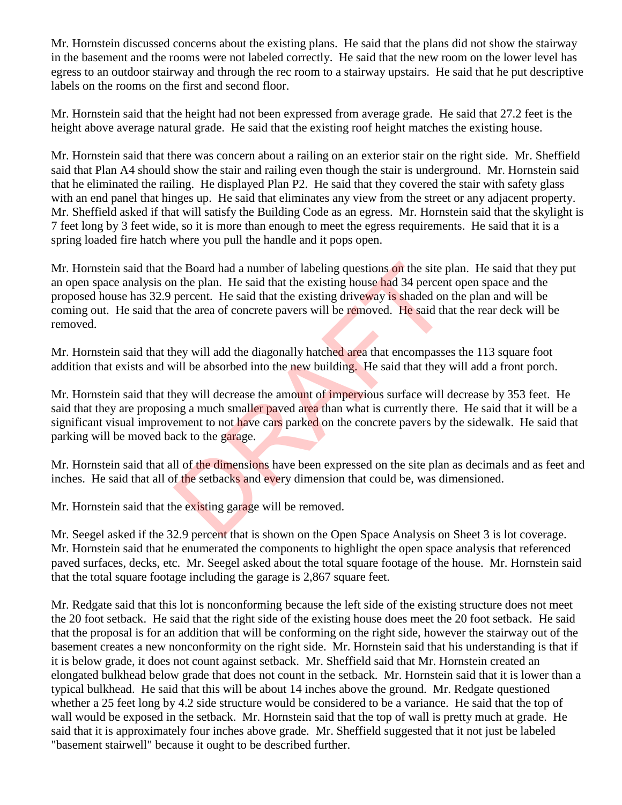Mr. Hornstein discussed concerns about the existing plans. He said that the plans did not show the stairway in the basement and the rooms were not labeled correctly. He said that the new room on the lower level has egress to an outdoor stairway and through the rec room to a stairway upstairs. He said that he put descriptive labels on the rooms on the first and second floor.

Mr. Hornstein said that the height had not been expressed from average grade. He said that 27.2 feet is the height above average natural grade. He said that the existing roof height matches the existing house.

Mr. Hornstein said that there was concern about a railing on an exterior stair on the right side. Mr. Sheffield said that Plan A4 should show the stair and railing even though the stair is underground. Mr. Hornstein said that he eliminated the railing. He displayed Plan P2. He said that they covered the stair with safety glass with an end panel that hinges up. He said that eliminates any view from the street or any adjacent property. Mr. Sheffield asked if that will satisfy the Building Code as an egress. Mr. Hornstein said that the skylight is 7 feet long by 3 feet wide, so it is more than enough to meet the egress requirements. He said that it is a spring loaded fire hatch where you pull the handle and it pops open.

Mr. Hornstein said that the Board had a number of labeling questions on the site plan. He said that they put an open space analysis on the plan. He said that the existing house had 34 percent open space and the proposed house has 32.9 percent. He said that the existing driveway is shaded on the plan and will be coming out. He said that the area of concrete pavers will be removed. He said that the rear deck will be removed. The Board had a number of labeling questions on the site p and the plan. He said that the existing house had 34 percent percent. He said that the existing driveway is shaded on the area of concrete pavers will be removed.

Mr. Hornstein said that they will add the diagonally hatched area that encompasses the 113 square foot addition that exists and will be absorbed into the new building. He said that they will add a front porch.

Mr. Hornstein said that they will decrease the amount of impervious surface will decrease by 353 feet. He said that they are proposing a much smaller paved area than what is currently there. He said that it will be a significant visual improvement to not have cars parked on the concrete pavers by the sidewalk. He said that parking will be moved back to the garage.

Mr. Hornstein said that all of the dimensions have been expressed on the site plan as decimals and as feet and inches. He said that all of the setbacks and every dimension that could be, was dimensioned.

Mr. Hornstein said that the existing garage will be removed.

Mr. Seegel asked if the 32.9 percent that is shown on the Open Space Analysis on Sheet 3 is lot coverage. Mr. Hornstein said that he enumerated the components to highlight the open space analysis that referenced paved surfaces, decks, etc. Mr. Seegel asked about the total square footage of the house. Mr. Hornstein said that the total square footage including the garage is 2,867 square feet.

Mr. Redgate said that this lot is nonconforming because the left side of the existing structure does not meet the 20 foot setback. He said that the right side of the existing house does meet the 20 foot setback. He said that the proposal is for an addition that will be conforming on the right side, however the stairway out of the basement creates a new nonconformity on the right side. Mr. Hornstein said that his understanding is that if it is below grade, it does not count against setback. Mr. Sheffield said that Mr. Hornstein created an elongated bulkhead below grade that does not count in the setback. Mr. Hornstein said that it is lower than a typical bulkhead. He said that this will be about 14 inches above the ground. Mr. Redgate questioned whether a 25 feet long by 4.2 side structure would be considered to be a variance. He said that the top of wall would be exposed in the setback. Mr. Hornstein said that the top of wall is pretty much at grade. He said that it is approximately four inches above grade. Mr. Sheffield suggested that it not just be labeled "basement stairwell" because it ought to be described further.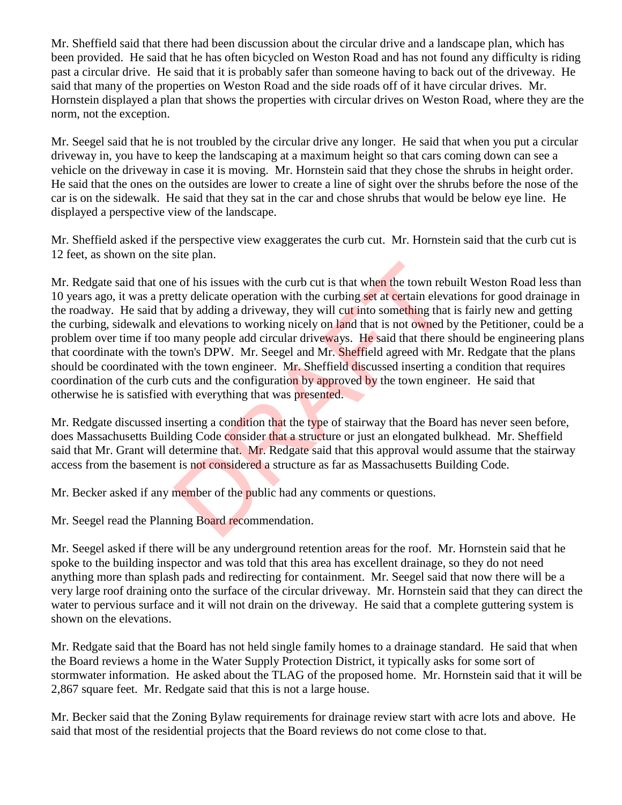Mr. Sheffield said that there had been discussion about the circular drive and a landscape plan, which has been provided. He said that he has often bicycled on Weston Road and has not found any difficulty is riding past a circular drive. He said that it is probably safer than someone having to back out of the driveway. He said that many of the properties on Weston Road and the side roads off of it have circular drives. Mr. Hornstein displayed a plan that shows the properties with circular drives on Weston Road, where they are the norm, not the exception.

Mr. Seegel said that he is not troubled by the circular drive any longer. He said that when you put a circular driveway in, you have to keep the landscaping at a maximum height so that cars coming down can see a vehicle on the driveway in case it is moving. Mr. Hornstein said that they chose the shrubs in height order. He said that the ones on the outsides are lower to create a line of sight over the shrubs before the nose of the car is on the sidewalk. He said that they sat in the car and chose shrubs that would be below eye line. He displayed a perspective view of the landscape.

Mr. Sheffield asked if the perspective view exaggerates the curb cut. Mr. Hornstein said that the curb cut is 12 feet, as shown on the site plan.

Mr. Redgate said that one of his issues with the curb cut is that when the town rebuilt Weston Road less than 10 years ago, it was a pretty delicate operation with the curbing set at certain elevations for good drainage in the roadway. He said that by adding a driveway, they will cut into something that is fairly new and getting the curbing, sidewalk and elevations to working nicely on land that is not owned by the Petitioner, could be a problem over time if too many people add circular driveways. He said that there should be engineering plans that coordinate with the town's DPW. Mr. Seegel and Mr. Sheffield agreed with Mr. Redgate that the plans should be coordinated with the town engineer. Mr. Sheffield discussed inserting a condition that requires coordination of the curb cuts and the configuration by approved by the town engineer. He said that otherwise he is satisfied with everything that was presented. e of his issues with the curb cut is that when the town rebutty delicate operation with the curbing set at certain elevations to the state operation with the curbing set at certain elevations to working nicely on land that

Mr. Redgate discussed inserting a condition that the type of stairway that the Board has never seen before, does Massachusetts Building Code consider that a structure or just an elongated bulkhead. Mr. Sheffield said that Mr. Grant will determine that. Mr. Redgate said that this approval would assume that the stairway access from the basement is not considered a structure as far as Massachusetts Building Code.

Mr. Becker asked if any member of the public had any comments or questions.

Mr. Seegel read the Planning Board recommendation.

Mr. Seegel asked if there will be any underground retention areas for the roof. Mr. Hornstein said that he spoke to the building inspector and was told that this area has excellent drainage, so they do not need anything more than splash pads and redirecting for containment. Mr. Seegel said that now there will be a very large roof draining onto the surface of the circular driveway. Mr. Hornstein said that they can direct the water to pervious surface and it will not drain on the driveway. He said that a complete guttering system is shown on the elevations.

Mr. Redgate said that the Board has not held single family homes to a drainage standard. He said that when the Board reviews a home in the Water Supply Protection District, it typically asks for some sort of stormwater information. He asked about the TLAG of the proposed home. Mr. Hornstein said that it will be 2,867 square feet. Mr. Redgate said that this is not a large house.

Mr. Becker said that the Zoning Bylaw requirements for drainage review start with acre lots and above. He said that most of the residential projects that the Board reviews do not come close to that.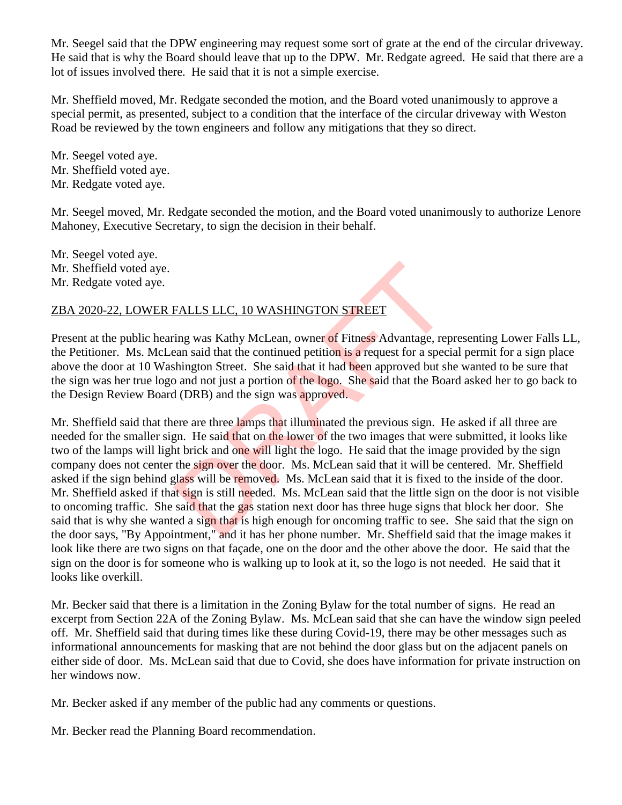Mr. Seegel said that the DPW engineering may request some sort of grate at the end of the circular driveway. He said that is why the Board should leave that up to the DPW. Mr. Redgate agreed. He said that there are a lot of issues involved there. He said that it is not a simple exercise.

Mr. Sheffield moved, Mr. Redgate seconded the motion, and the Board voted unanimously to approve a special permit, as presented, subject to a condition that the interface of the circular driveway with Weston Road be reviewed by the town engineers and follow any mitigations that they so direct.

Mr. Seegel voted aye. Mr. Sheffield voted aye. Mr. Redgate voted aye.

Mr. Seegel moved, Mr. Redgate seconded the motion, and the Board voted unanimously to authorize Lenore Mahoney, Executive Secretary, to sign the decision in their behalf.

Mr. Seegel voted aye. Mr. Sheffield voted aye. Mr. Redgate voted aye.

#### ZBA 2020-22, LOWER FALLS LLC, 10 WASHINGTON STREET

Present at the public hearing was Kathy McLean, owner of Fitness Advantage, representing Lower Falls LL, the Petitioner. Ms. McLean said that the continued petition is a request for a special permit for a sign place above the door at 10 Washington Street. She said that it had been approved but she wanted to be sure that the sign was her true logo and not just a portion of the logo. She said that the Board asked her to go back to the Design Review Board (DRB) and the sign was approved.

Mr. Sheffield said that there are three lamps that illuminated the previous sign. He asked if all three are needed for the smaller sign. He said that on the lower of the two images that were submitted, it looks like two of the lamps will light brick and one will light the logo. He said that the image provided by the sign company does not center the sign over the door. Ms. McLean said that it will be centered. Mr. Sheffield asked if the sign behind glass will be removed. Ms. McLean said that it is fixed to the inside of the door. Mr. Sheffield asked if that sign is still needed. Ms. McLean said that the little sign on the door is not visible to oncoming traffic. She said that the gas station next door has three huge signs that block her door. She said that is why she wanted a sign that is high enough for oncoming traffic to see. She said that the sign on the door says, "By Appointment," and it has her phone number. Mr. Sheffield said that the image makes it look like there are two signs on that façade, one on the door and the other above the door. He said that the sign on the door is for someone who is walking up to look at it, so the logo is not needed. He said that it looks like overkill. FALLS LLC, 10 WASHINGTON STREET<br>
ing was Kathy McLean, owner of Fitness Advantage, rep<br>
en said that the continued petition is a request for a spec<br>
shington Street. She said that it had been approved but sh<br>
and not just

Mr. Becker said that there is a limitation in the Zoning Bylaw for the total number of signs. He read an excerpt from Section 22A of the Zoning Bylaw. Ms. McLean said that she can have the window sign peeled off. Mr. Sheffield said that during times like these during Covid-19, there may be other messages such as informational announcements for masking that are not behind the door glass but on the adjacent panels on either side of door. Ms. McLean said that due to Covid, she does have information for private instruction on her windows now.

Mr. Becker asked if any member of the public had any comments or questions.

Mr. Becker read the Planning Board recommendation.